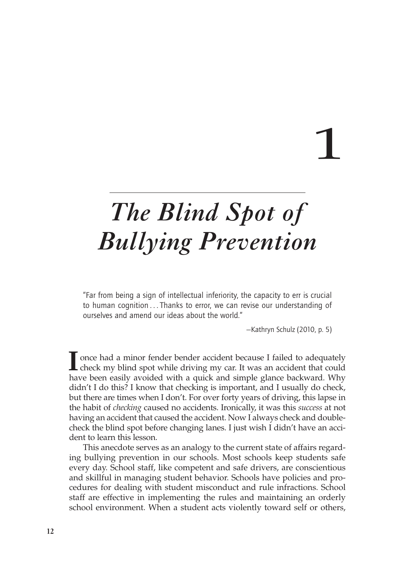# 1

# *The Blind Spot of Bullying Prevention*

"Far from being a sign of intellectual inferiority, the capacity to err is crucial to human cognition ... Thanks to error, we can revise our understanding of ourselves and amend our ideas about the world."

—Kathryn Schulz (2010, p. 5)

I once had a minor fender bender accident because I failed to adequately check my blind spot while driving my car. It was an accident that could have been easily avoided with a quick and simple glance backward. Why didn't I do this? I know that checking is important, and I usually do check, but there are times when I don't. For over forty years of driving, this lapse in the habit of *checking* caused no accidents. Ironically, it was this *success* at not having an accident that caused the accident. Now I always check and doublecheck the blind spot before changing lanes. I just wish I didn't have an accident to learn this lesson.

This anecdote serves as an analogy to the current state of affairs regarding bullying prevention in our schools. Most schools keep students safe every day. School staff, like competent and safe drivers, are conscientious and skillful in managing student behavior. Schools have policies and procedures for dealing with student misconduct and rule infractions. School staff are effective in implementing the rules and maintaining an orderly school environment. When a student acts violently toward self or others,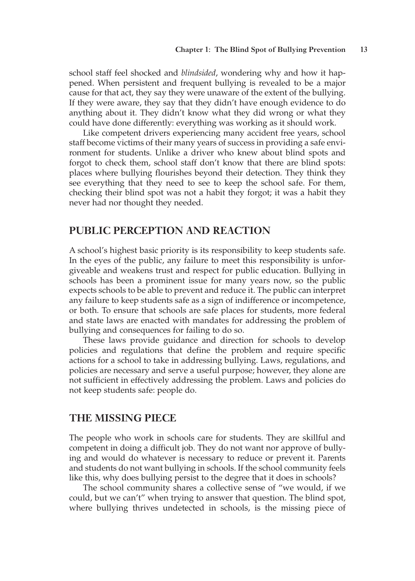school staff feel shocked and *blindsided*, wondering why and how it happened. When persistent and frequent bullying is revealed to be a major cause for that act, they say they were unaware of the extent of the bullying. If they were aware, they say that they didn't have enough evidence to do anything about it. They didn't know what they did wrong or what they could have done differently: everything was working as it should work.

Like competent drivers experiencing many accident free years, school staff become victims of their many years of success in providing a safe environment for students. Unlike a driver who knew about blind spots and forgot to check them, school staff don't know that there are blind spots: places where bullying flourishes beyond their detection. They think they see everything that they need to see to keep the school safe. For them, checking their blind spot was not a habit they forgot; it was a habit they never had nor thought they needed.

# **PUBLIC PERCEPTION AND REACTION**

A school's highest basic priority is its responsibility to keep students safe. In the eyes of the public, any failure to meet this responsibility is unforgiveable and weakens trust and respect for public education. Bullying in schools has been a prominent issue for many years now, so the public expects schools to be able to prevent and reduce it. The public can interpret any failure to keep students safe as a sign of indifference or incompetence, or both. To ensure that schools are safe places for students, more federal and state laws are enacted with mandates for addressing the problem of bullying and consequences for failing to do so.

These laws provide guidance and direction for schools to develop policies and regulations that define the problem and require specific actions for a school to take in addressing bullying. Laws, regulations, and policies are necessary and serve a useful purpose; however, they alone are not sufficient in effectively addressing the problem. Laws and policies do not keep students safe: people do.

# **THE MISSING PIECE**

The people who work in schools care for students. They are skillful and competent in doing a difficult job. They do not want nor approve of bullying and would do whatever is necessary to reduce or prevent it. Parents and students do not want bullying in schools. If the school community feels like this, why does bullying persist to the degree that it does in schools?

The school community shares a collective sense of "we would, if we could, but we can't" when trying to answer that question. The blind spot, where bullying thrives undetected in schools, is the missing piece of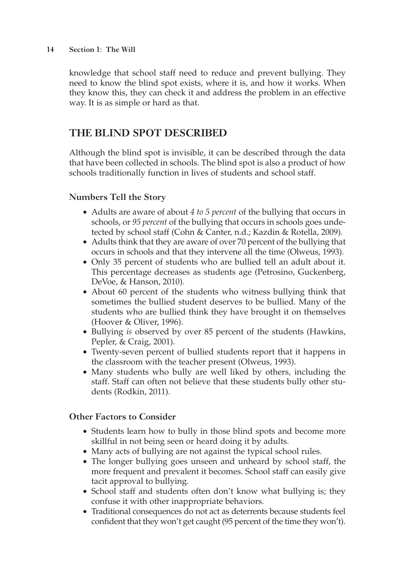#### **14 Section 1: The Will**

knowledge that school staff need to reduce and prevent bullying. They need to know the blind spot exists, where it is, and how it works. When they know this, they can check it and address the problem in an effective way. It is as simple or hard as that.

# **THE BLIND SPOT DESCRIBED**

Although the blind spot is invisible, it can be described through the data that have been collected in schools. The blind spot is also a product of how schools traditionally function in lives of students and school staff.

# **Numbers Tell the Story**

- Adults are aware of about *4 to 5 percent* of the bullying that occurs in schools, or *95 percent* of the bullying that occurs in schools goes undetected by school staff (Cohn & Canter, n.d.; Kazdin & Rotella, 2009).
- Adults think that they are aware of over 70 percent of the bullying that occurs in schools and that they intervene all the time (Olweus, 1993).
- Only 35 percent of students who are bullied tell an adult about it. This percentage decreases as students age (Petrosino, Guckenberg, DeVoe, & Hanson, 2010).
- About 60 percent of the students who witness bullying think that sometimes the bullied student deserves to be bullied. Many of the students who are bullied think they have brought it on themselves (Hoover & Oliver, 1996).
- Bullying *is* observed by over 85 percent of the students (Hawkins, Pepler, & Craig, 2001).
- Twenty-seven percent of bullied students report that it happens in the classroom with the teacher present (Olweus, 1993).
- Many students who bully are well liked by others, including the staff. Staff can often not believe that these students bully other students (Rodkin, 2011).

# **Other Factors to Consider**

- Students learn how to bully in those blind spots and become more skillful in not being seen or heard doing it by adults.
- Many acts of bullying are not against the typical school rules.
- The longer bullying goes unseen and unheard by school staff, the more frequent and prevalent it becomes. School staff can easily give tacit approval to bullying.
- School staff and students often don't know what bullying is; they confuse it with other inappropriate behaviors.
- Traditional consequences do not act as deterrents because students feel confident that they won't get caught (95 percent of the time they won't).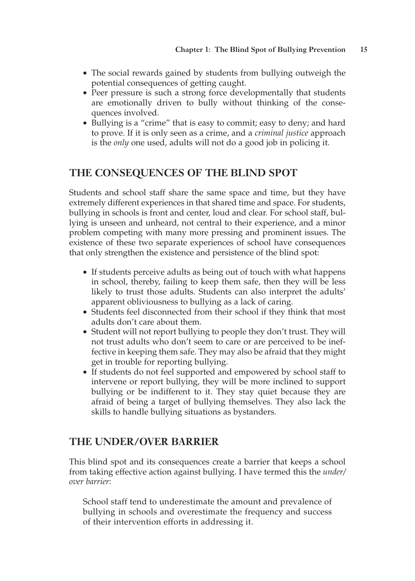- The social rewards gained by students from bullying outweigh the potential consequences of getting caught.
- Peer pressure is such a strong force developmentally that students are emotionally driven to bully without thinking of the consequences involved.
- Bullying is a "crime" that is easy to commit; easy to deny; and hard to prove. If it is only seen as a crime, and a *criminal justice* approach is the *only* one used, adults will not do a good job in policing it.

# **THE CONSEQUENCES OF THE BLIND SPOT**

Students and school staff share the same space and time, but they have extremely different experiences in that shared time and space. For students, bullying in schools is front and center, loud and clear. For school staff, bullying is unseen and unheard, not central to their experience, and a minor problem competing with many more pressing and prominent issues. The existence of these two separate experiences of school have consequences that only strengthen the existence and persistence of the blind spot:

- If students perceive adults as being out of touch with what happens in school, thereby, failing to keep them safe, then they will be less likely to trust those adults. Students can also interpret the adults' apparent obliviousness to bullying as a lack of caring.
- Students feel disconnected from their school if they think that most adults don't care about them.
- Student will not report bullying to people they don't trust. They will not trust adults who don't seem to care or are perceived to be ineffective in keeping them safe. They may also be afraid that they might get in trouble for reporting bullying.
- If students do not feel supported and empowered by school staff to intervene or report bullying, they will be more inclined to support bullying or be indifferent to it. They stay quiet because they are afraid of being a target of bullying themselves. They also lack the skills to handle bullying situations as bystanders.

# **THE UNDER/OVER BARRIER**

This blind spot and its consequences create a barrier that keeps a school from taking effective action against bullying. I have termed this the *under/ over barrier*:

School staff tend to underestimate the amount and prevalence of bullying in schools and overestimate the frequency and success of their intervention efforts in addressing it.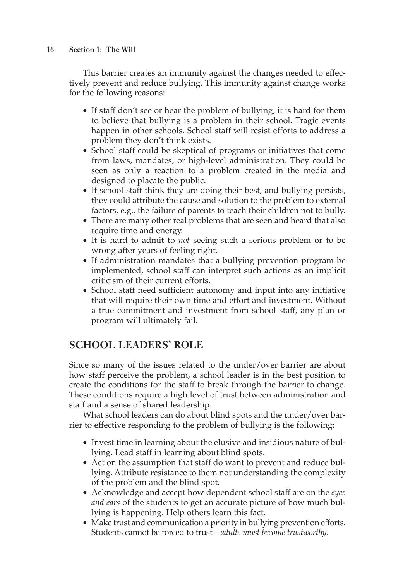This barrier creates an immunity against the changes needed to effectively prevent and reduce bullying. This immunity against change works for the following reasons:

- If staff don't see or hear the problem of bullying, it is hard for them to believe that bullying is a problem in their school. Tragic events happen in other schools. School staff will resist efforts to address a problem they don't think exists.
- School staff could be skeptical of programs or initiatives that come from laws, mandates, or high-level administration. They could be seen as only a reaction to a problem created in the media and designed to placate the public.
- If school staff think they are doing their best, and bullying persists, they could attribute the cause and solution to the problem to external factors, e.g., the failure of parents to teach their children not to bully.
- There are many other real problems that are seen and heard that also require time and energy.
- It is hard to admit to *not* seeing such a serious problem or to be wrong after years of feeling right.
- If administration mandates that a bullying prevention program be implemented, school staff can interpret such actions as an implicit criticism of their current efforts.
- School staff need sufficient autonomy and input into any initiative that will require their own time and effort and investment. Without a true commitment and investment from school staff, any plan or program will ultimately fail.

# **SCHOOL LEADERS' ROLE**

Since so many of the issues related to the under/over barrier are about how staff perceive the problem, a school leader is in the best position to create the conditions for the staff to break through the barrier to change. These conditions require a high level of trust between administration and staff and a sense of shared leadership.

What school leaders can do about blind spots and the under/over barrier to effective responding to the problem of bullying is the following:

- Invest time in learning about the elusive and insidious nature of bullying. Lead staff in learning about blind spots.
- Act on the assumption that staff do want to prevent and reduce bullying. Attribute resistance to them not understanding the complexity of the problem and the blind spot.
- Acknowledge and accept how dependent school staff are on the *eyes and ears* of the students to get an accurate picture of how much bullying is happening. Help others learn this fact.
- Make trust and communication a priority in bullying prevention efforts. Students cannot be forced to trust—*adults must become trustworthy*.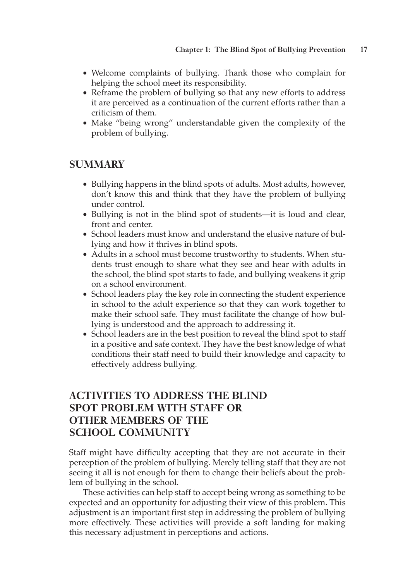- Welcome complaints of bullying. Thank those who complain for helping the school meet its responsibility.
- Reframe the problem of bullying so that any new efforts to address it are perceived as a continuation of the current efforts rather than a criticism of them.
- Make "being wrong" understandable given the complexity of the problem of bullying.

# **SUMMARY**

- Bullying happens in the blind spots of adults. Most adults, however, don't know this and think that they have the problem of bullying under control.
- Bullying is not in the blind spot of students—it is loud and clear, front and center.
- School leaders must know and understand the elusive nature of bullying and how it thrives in blind spots.
- Adults in a school must become trustworthy to students. When students trust enough to share what they see and hear with adults in the school, the blind spot starts to fade, and bullying weakens it grip on a school environment.
- School leaders play the key role in connecting the student experience in school to the adult experience so that they can work together to make their school safe. They must facilitate the change of how bullying is understood and the approach to addressing it.
- School leaders are in the best position to reveal the blind spot to staff in a positive and safe context. They have the best knowledge of what conditions their staff need to build their knowledge and capacity to effectively address bullying.

# **ACTIVITIES TO ADDRESS THE BLIND SPOT PROBLEM WITH STAFF OR OTHER MEMBERS OF THE SCHOOL COMMUNITY**

Staff might have difficulty accepting that they are not accurate in their perception of the problem of bullying. Merely telling staff that they are not seeing it all is not enough for them to change their beliefs about the problem of bullying in the school.

These activities can help staff to accept being wrong as something to be expected and an opportunity for adjusting their view of this problem. This adjustment is an important first step in addressing the problem of bullying more effectively. These activities will provide a soft landing for making this necessary adjustment in perceptions and actions.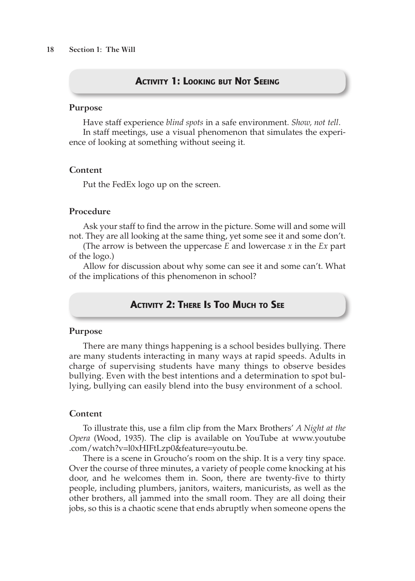# Activity 1: Looking but Not Seeing

#### **Purpose**

Have staff experience *blind spots* in a safe environment. *Show, not tell*. In staff meetings, use a visual phenomenon that simulates the experience of looking at something without seeing it.

#### **Content**

Put the FedEx logo up on the screen.

#### **Procedure**

Ask your staff to find the arrow in the picture. Some will and some will not. They are all looking at the same thing, yet some see it and some don't.

(The arrow is between the uppercase *E* and lowercase *x* in the *Ex* part of the logo.)

Allow for discussion about why some can see it and some can't. What of the implications of this phenomenon in school?

# Activity 2: There Is Too Much to See

#### **Purpose**

There are many things happening is a school besides bullying. There are many students interacting in many ways at rapid speeds. Adults in charge of supervising students have many things to observe besides bullying. Even with the best intentions and a determination to spot bullying, bullying can easily blend into the busy environment of a school.

#### **Content**

To illustrate this, use a film clip from the Marx Brothers' *A Night at the Opera* (Wood, 1935). The clip is available on YouTube at www.youtube .com/watch?v=l0xHIFtLzp0&feature=youtu.be.

There is a scene in Groucho's room on the ship. It is a very tiny space. Over the course of three minutes, a variety of people come knocking at his door, and he welcomes them in. Soon, there are twenty-five to thirty people, including plumbers, janitors, waiters, manicurists, as well as the other brothers, all jammed into the small room. They are all doing their jobs, so this is a chaotic scene that ends abruptly when someone opens the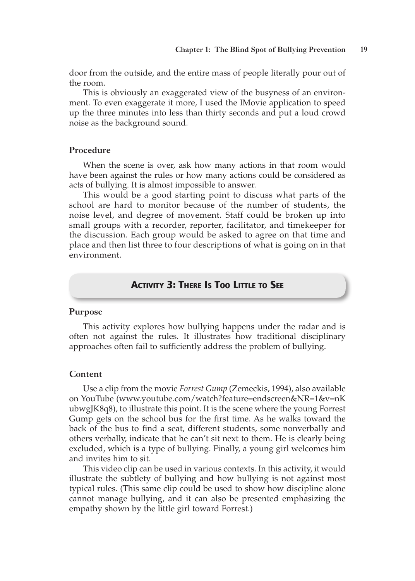door from the outside, and the entire mass of people literally pour out of the room.

This is obviously an exaggerated view of the busyness of an environment. To even exaggerate it more, I used the IMovie application to speed up the three minutes into less than thirty seconds and put a loud crowd noise as the background sound.

#### **Procedure**

When the scene is over, ask how many actions in that room would have been against the rules or how many actions could be considered as acts of bullying. It is almost impossible to answer.

This would be a good starting point to discuss what parts of the school are hard to monitor because of the number of students, the noise level, and degree of movement. Staff could be broken up into small groups with a recorder, reporter, facilitator, and timekeeper for the discussion. Each group would be asked to agree on that time and place and then list three to four descriptions of what is going on in that environment.

# ACTIVITY 3: THERE IS TOO LITTLE TO SEE

#### **Purpose**

This activity explores how bullying happens under the radar and is often not against the rules. It illustrates how traditional disciplinary approaches often fail to sufficiently address the problem of bullying.

#### **Content**

Use a clip from the movie *Forrest Gump* (Zemeckis, 1994), also available on YouTube (www.youtube.com/watch?feature=endscreen&NR=1&v=nK ubwgJK8q8), to illustrate this point. It is the scene where the young Forrest Gump gets on the school bus for the first time. As he walks toward the back of the bus to find a seat, different students, some nonverbally and others verbally, indicate that he can't sit next to them. He is clearly being excluded, which is a type of bullying. Finally, a young girl welcomes him and invites him to sit.

This video clip can be used in various contexts. In this activity, it would illustrate the subtlety of bullying and how bullying is not against most typical rules. (This same clip could be used to show how discipline alone cannot manage bullying, and it can also be presented emphasizing the empathy shown by the little girl toward Forrest.)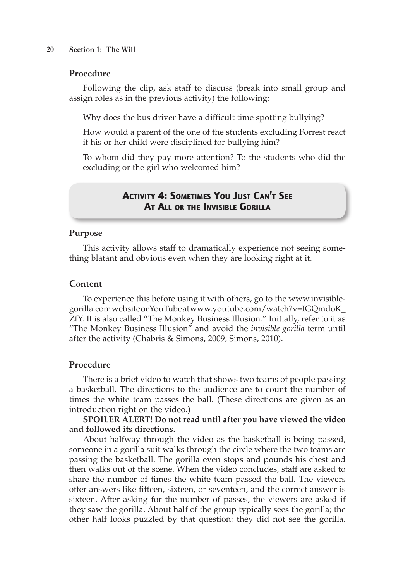#### **Procedure**

Following the clip, ask staff to discuss (break into small group and assign roles as in the previous activity) the following:

Why does the bus driver have a difficult time spotting bullying?

How would a parent of the one of the students excluding Forrest react if his or her child were disciplined for bullying him?

To whom did they pay more attention? To the students who did the excluding or the girl who welcomed him?

# **ACTIVITY 4: SOMETIMES YOU JUST CAN'T SEE** AT ALL OR THE INVISIBLE GORILLA

#### **Purpose**

This activity allows staff to dramatically experience not seeing something blatant and obvious even when they are looking right at it.

#### **Content**

To experience this before using it with others, go to the www.invisiblegorilla.com website or YouTube at www.youtube.com/watch?v=IGQmdoK\_ ZfY. It is also called "The Monkey Business Illusion." Initially, refer to it as "The Monkey Business Illusion" and avoid the *invisible gorilla* term until after the activity (Chabris & Simons, 2009; Simons, 2010).

#### **Procedure**

There is a brief video to watch that shows two teams of people passing a basketball. The directions to the audience are to count the number of times the white team passes the ball. (These directions are given as an introduction right on the video.)

**SPOILER ALERT! Do not read until after you have viewed the video and followed its directions.**

About halfway through the video as the basketball is being passed, someone in a gorilla suit walks through the circle where the two teams are passing the basketball. The gorilla even stops and pounds his chest and then walks out of the scene. When the video concludes, staff are asked to share the number of times the white team passed the ball. The viewers offer answers like fifteen, sixteen, or seventeen, and the correct answer is sixteen. After asking for the number of passes, the viewers are asked if they saw the gorilla. About half of the group typically sees the gorilla; the other half looks puzzled by that question: they did not see the gorilla.